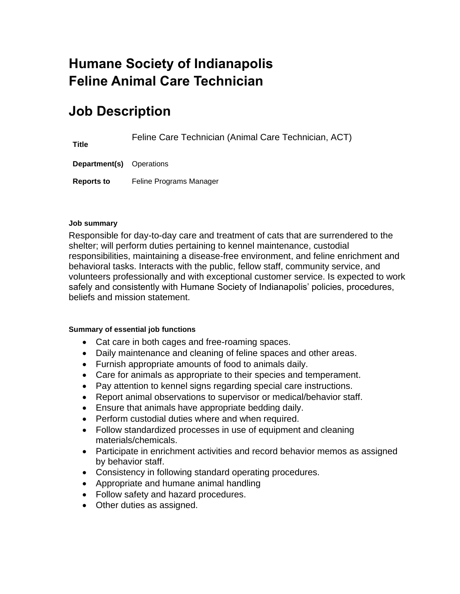# **Humane Society of Indianapolis Feline Animal Care Technician**

# **Job Description**

Feline Care Technician (Animal Care Technician, ACT)

**Department(s)** Operations

**Reports to** Feline Programs Manager

### **Job summary**

**Title**

Responsible for day-to-day care and treatment of cats that are surrendered to the shelter; will perform duties pertaining to kennel maintenance, custodial responsibilities, maintaining a disease-free environment, and feline enrichment and behavioral tasks. Interacts with the public, fellow staff, community service, and volunteers professionally and with exceptional customer service. Is expected to work safely and consistently with Humane Society of Indianapolis' policies, procedures, beliefs and mission statement.

## **Summary of essential job functions**

- Cat care in both cages and free-roaming spaces.
- Daily maintenance and cleaning of feline spaces and other areas.
- Furnish appropriate amounts of food to animals daily.
- Care for animals as appropriate to their species and temperament.
- Pay attention to kennel signs regarding special care instructions.
- Report animal observations to supervisor or medical/behavior staff.
- Ensure that animals have appropriate bedding daily.
- Perform custodial duties where and when required.
- Follow standardized processes in use of equipment and cleaning materials/chemicals.
- Participate in enrichment activities and record behavior memos as assigned by behavior staff.
- Consistency in following standard operating procedures.
- Appropriate and humane animal handling
- Follow safety and hazard procedures.
- Other duties as assigned.